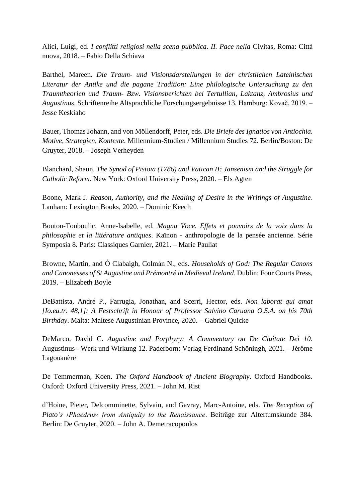Alici, Luigi, ed. *I conflitti religiosi nella scena pubblica. II. Pace nella* Civitas, Roma: Città nuova, 2018. – Fabio Della Schiava

Barthel, Mareen. *Die Traum- und Visionsdarstellungen in der christlichen Lateinischen Literatur der Antike und die pagane Tradition: Eine philologische Untersuchung zu den Traumtheorien und Traum- Bzw. Visionsberichten bei Tertullian, Laktanz, Ambrosius und Augustinus*. Schriftenreihe Altsprachliche Forschungsergebnisse 13. Hamburg: Kovač, 2019. – Jesse Keskiaho

Bauer, Thomas Johann, and von Möllendorff, Peter, eds. *Die Briefe des Ignatios von Antiochia. Motive, Strategien, Kontexte*. Millennium-Studien / Millennium Studies 72. Berlin/Boston: De Gruyter, 2018. – Joseph Verheyden

Blanchard, Shaun. *The Synod of Pistoia (1786) and Vatican II: Jansenism and the Struggle for Catholic Reform*. New York: Oxford University Press, 2020. – Els Agten

Boone, Mark J. *Reason, Authority, and the Healing of Desire in the Writings of Augustine*. Lanham: Lexington Books, 2020. – Dominic Keech

Bouton-Touboulic, Anne-Isabelle, ed. *Magna Voce. Effets et pouvoirs de la voix dans la philosophie et la littérature antiques*. Kaïnon - anthropologie de la pensée ancienne. Série Symposia 8. Paris: Classiques Garnier, 2021. – Marie Pauliat

Browne, Martin, and Ó Clabaigh, Colmán N., eds. *Households of God: The Regular Canons and Canonesses of St Augustine and Prémontré in Medieval Ireland*. Dublin: Four Courts Press, 2019. – Elizabeth Boyle

DeBattista, André P., Farrugia, Jonathan, and Scerri, Hector, eds. *Non laborat qui amat [Io.eu.tr. 48,1]: A Festschrift in Honour of Professor Salvino Caruana O.S.A. on his 70th Birthday*. Malta: Maltese Augustinian Province, 2020. – Gabriel Quicke

DeMarco, David C. *Augustine and Porphyry: A Commentary on De Ciuitate Dei 10*. Augustinus - Werk und Wirkung 12. Paderborn: Verlag Ferdinand Schöningh, 2021. – Jérôme Lagouanère

De Temmerman, Koen. *The Oxford Handbook of Ancient Biography*. Oxford Handbooks. Oxford: Oxford University Press, 2021. – John M. Rist

d'Hoine, Pieter, Delcomminette, Sylvain, and Gavray, Marc-Antoine, eds. *The Reception of Plato's ›Phaedrus‹ from Antiquity to the Renaissance*. Beiträge zur Altertumskunde 384. Berlin: De Gruyter, 2020. – John A. Demetracopoulos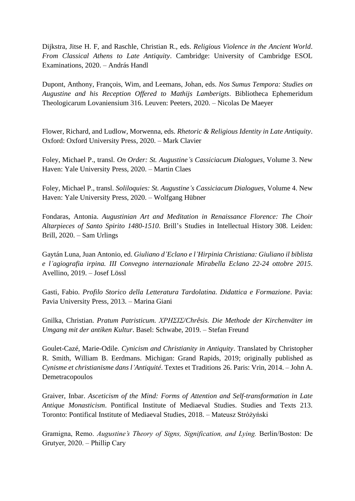Dijkstra, Jitse H. F, and Raschle, Christian R., eds. *Religious Violence in the Ancient World*. *From Classical Athens to Late Antiquity*. Cambridge: University of Cambridge ESOL Examinations, 2020. – András Handl

Dupont, Anthony, François, Wim, and Leemans, Johan, eds. *Nos Sumus Tempora: Studies on Augustine and his Reception Offered to Mathijs Lamberigts*. Bibliotheca Ephemeridum Theologicarum Lovaniensium 316. Leuven: Peeters, 2020. – Nicolas De Maeyer

Flower, Richard, and Ludlow, Morwenna, eds. *Rhetoric & Religious Identity in Late Antiquity*. Oxford: Oxford University Press, 2020. – Mark Clavier

Foley, Michael P., transl. *On Order: St. Augustine's Cassiciacum Dialogues*, Volume 3. New Haven: Yale University Press, 2020. – Martin Claes

Foley, Michael P., transl. *Soliloquies: St. Augustine's Cassiciacum Dialogues*, Volume 4. New Haven: Yale University Press, 2020. – Wolfgang Hübner

Fondaras, Antonia. *Augustinian Art and Meditation in Renaissance Florence: The Choir Altarpieces of Santo Spirito 1480-1510*. Brill's Studies in Intellectual History 308. Leiden: Brill, 2020. – Sam Urlings

Gaytán Luna, Juan Antonio, ed. *Giuliano d'Eclano e l'Hirpinia Christiana: Giuliano il biblista e l'agiografia irpina. III Convegno internazionale Mirabella Eclano 22-24 ottobre 2015*. Avellino, 2019. – Josef Lössl

Gasti, Fabio. *Profilo Storico della Letteratura Tardolatina. Didattica e Formazione*. Pavia: Pavia University Press, 2013. – Marina Giani

Gnilka, Christian. *Pratum Patristicum. ΧΡΗΣΙΣ/Chrêsis. Die Methode der Kirchenväter im Umgang mit der antiken Kultur*. Basel: Schwabe, 2019. – Stefan Freund

Goulet-Cazé, Marie-Odile. *Cynicism and Christianity in Antiquity*. Translated by Christopher R. Smith, William B. Eerdmans. Michigan: Grand Rapids, 2019; originally published as *Cynisme et christianisme dans l'Antiquité*. Textes et Traditions 26. Paris: Vrin, 2014. – John A. Demetracopoulos

Graiver, Inbar. *Asceticism of the Mind: Forms of Attention and Self-transformation in Late Antique Monasticism*. Pontifical Institute of Mediaeval Studies. Studies and Texts 213. Toronto: Pontifical Institute of Mediaeval Studies, 2018. – Mateusz Stróżyński

Gramigna, Remo. *Augustine's Theory of Signs, Signification, and Lying.* Berlin/Boston: De Grutyer, 2020. – Phillip Cary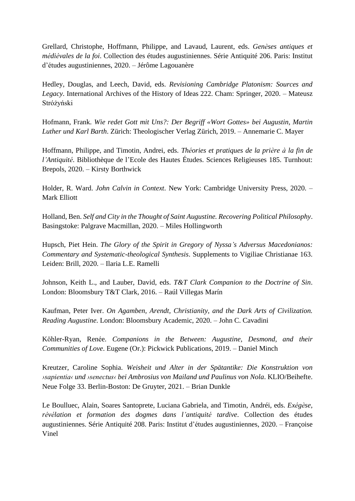Grellard, Christophe, Hoffmann, Philippe, and Lavaud, Laurent, eds. *Genèses antiques et médiévales de la foi*. Collection des études augustiniennes. Série Antiquité 206. Paris: Institut d'études augustiniennes, 2020. – Jérôme Lagouanère

Hedley, Douglas, and Leech, David, eds. *Revisioning Cambridge Platonism: Sources and Legacy*. International Archives of the History of Ideas 222. Cham: Springer, 2020. – Mateusz Stróżyński

Hofmann, Frank. *Wie redet Gott mit Uns?: Der Begriff «Wort Gottes» bei Augustin, Martin Luther und Karl Barth*. Zürich: Theologischer Verlag Zürich, 2019. – Annemarie C. Mayer

Hoffmann, Philippe, and Timotin, Andrei, eds. *Théories et pratiques de la prière à la fin de l'Antiquité*. Bibliothèque de l'Ecole des Hautes Études. Sciences Religieuses 185. Turnhout: Brepols, 2020. – Kirsty Borthwick

Holder, R. Ward. *John Calvin in Context*. New York: Cambridge University Press, 2020. – Mark Elliott

Holland, Ben. *Self and City in the Thought of Saint Augustine. Recovering Political Philosophy*. Basingstoke: Palgrave Macmillan, 2020. – Miles Hollingworth

Hupsch, Piet Hein. *The Glory of the Spirit in Gregory of Nyssa's Adversus Macedonianos: Commentary and Systematic-theological Synthesis*. Supplements to Vigiliae Christianae 163. Leiden: Brill, 2020. – Ilaria L.E. Ramelli

Johnson, Keith L., and Lauber, David, eds. *T&T Clark Companion to the Doctrine of Sin*. London: Bloomsbury T&T Clark, 2016. – Raúl Villegas Marín

Kaufman, Peter Iver. *On Agamben, Arendt, Christianity, and the Dark Arts of Civilization. Reading Augustine*. London: Bloomsbury Academic, 2020. – John C. Cavadini

Köhler-Ryan, Renée. *Companions in the Between: Augustine, Desmond, and their Communities of Love*. Eugene (Or.): Pickwick Publications, 2019. – Daniel Minch

Kreutzer, Caroline Sophia. *Weisheit und Alter in der Spätantike: Die Konstruktion von ›sapientia‹ und ›senectus‹ bei Ambrosius von Mailand und Paulinus von Nola*. KLIO/Beihefte. Neue Folge 33. Berlin-Boston: De Gruyter, 2021. – Brian Dunkle

Le Boulluec, Alain, Soares Santoprete, Luciana Gabriela, and Timotin, Andréi, eds. *Exégèse, révélation et formation des dogmes dans l'antiquité tardive*. Collection des études augustiniennes. Série Antiquité 208. Paris: Institut d'études augustiniennes, 2020. – Françoise Vinel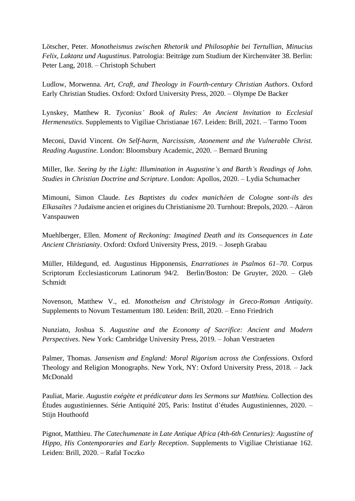Lötscher, Peter. *Monotheismus zwischen Rhetorik und Philosophie bei Tertullian, Minucius Felix, Laktanz und Augustinus*. Patrologia: Beiträge zum Studium der Kirchenväter 38. Berlin: Peter Lang, 2018. – Christoph Schubert

Ludlow, Morwenna. *Art, Craft, and Theology in Fourth-century Christian Authors*. Oxford Early Christian Studies. Oxford: Oxford University Press, 2020. – Olympe De Backer

Lynskey, Matthew R. *Tyconius' Book of Rules: An Ancient Invitation to Ecclesial Hermeneutics*. Supplements to Vigiliae Christianae 167. Leiden: Brill, 2021. – Tarmo Toom

Meconi, David Vincent. *On Self-harm, Narcissism, Atonement and the Vulnerable Christ. Reading Augustine*. London: Bloomsbury Academic, 2020. – Bernard Bruning

Miller, Ike. *Seeing by the Light: Illumination in Augustine's and Barth's Readings of John. Studies in Christian Doctrine and Scripture*. London: Apollos, 2020. – Lydia Schumacher

Mimouni, Simon Claude. *Les Baptistes du codex manichéen de Cologne sont-ils des Elkasaïtes ?* Judaïsme ancien et origines du Christianisme 20. Turnhout: Brepols, 2020. – Aäron Vanspauwen

Muehlberger, Ellen. *Moment of Reckoning: Imagined Death and its Consequences in Late Ancient Christianity*. Oxford: Oxford University Press, 2019. – Joseph Grabau

Müller, Hildegund, ed. Augustinus Hipponensis, *Enarrationes in Psalmos 61–70*. Corpus Scriptorum Ecclesiasticorum Latinorum 94/2. Berlin/Boston: De Gruyter, 2020. – Gleb Schmidt

Novenson, Matthew V., ed. *Monotheism and Christology in Greco-Roman Antiquity*. Supplements to Novum Testamentum 180. Leiden: Brill, 2020. – Enno Friedrich

Nunziato, Joshua S. *Augustine and the Economy of Sacrifice: Ancient and Modern Perspectives*. New York: Cambridge University Press, 2019. – Johan Verstraeten

Palmer, Thomas. *Jansenism and England: Moral Rigorism across the Confessions*. Oxford Theology and Religion Monographs. New York, NY: Oxford University Press, 2018. – Jack McDonald

Pauliat, Marie. *Augustin exégète et prédicateur dans les Sermons sur Matthieu.* Collection des Études augustiniennes. Série Antiquité 205, Paris: Institut d'études Augustiniennes, 2020. – Stijn Houthoofd

Pignot, Matthieu. *The Catechumenate in Late Antique Africa (4th-6th Centuries): Augustine of Hippo, His Contemporaries and Early Reception*. Supplements to Vigiliae Christianae 162. Leiden: Brill, 2020. – Rafał Toczko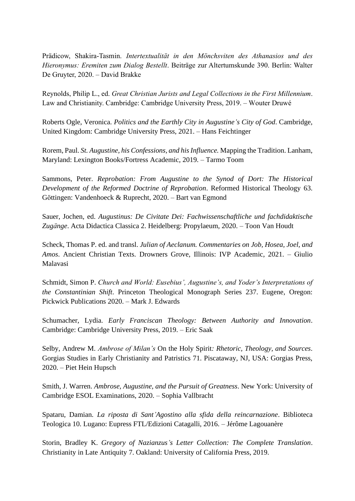Prädicow, Shakira-Tasmin. *Intertextualität in den Mönchsviten des Athanasios und des Hieronymus: Eremiten zum Dialog Bestellt*. Beiträge zur Altertumskunde 390. Berlin: Walter De Gruyter, 2020. – David Brakke

Reynolds, Philip L., ed. *Great Christian Jurists and Legal Collections in the First Millennium*. Law and Christianity. Cambridge: Cambridge University Press, 2019. – Wouter Druwé

Roberts Ogle, Veronica. *Politics and the Earthly City in Augustine's City of God*. Cambridge, United Kingdom: Cambridge University Press, 2021. – Hans Feichtinger

Rorem, Paul. *St. Augustine, his Confessions, and his Influence.* Mapping the Tradition. Lanham, Maryland: Lexington Books/Fortress Academic, 2019. – Tarmo Toom

Sammons, Peter. *Reprobation: From Augustine to the Synod of Dort: The Historical Development of the Reformed Doctrine of Reprobation*. Reformed Historical Theology 63. Göttingen: Vandenhoeck & Ruprecht, 2020. – Bart van Egmond

Sauer, Jochen, ed. *Augustinus: De Civitate Dei: Fachwissenschaftliche und fachdidaktische Zugänge*. Acta Didactica Classica 2. Heidelberg: Propylaeum, 2020. – Toon Van Houdt

Scheck, Thomas P. ed. and transl. *Julian of Aeclanum. Commentaries on Job, Hosea, Joel, and Amos*. Ancient Christian Texts. Drowners Grove, Illinois: IVP Academic, 2021. – Giulio Malavasi

Schmidt, Simon P. *Church and World: Eusebius', Augustine's, and Yoder's Interpretations of the Constantinian Shift*. Princeton Theological Monograph Series 237. Eugene, Oregon: Pickwick Publications 2020. – Mark J. Edwards

Schumacher, Lydia. *Early Franciscan Theology: Between Authority and Innovation*. Cambridge: Cambridge University Press, 2019. – Eric Saak

Selby, Andrew M. *Ambrose of Milan's* On the Holy Spirit*: Rhetoric, Theology, and Sources*. Gorgias Studies in Early Christianity and Patristics 71. Piscataway, NJ, USA: Gorgias Press, 2020. – Piet Hein Hupsch

Smith, J. Warren. *Ambrose, Augustine, and the Pursuit of Greatness*. New York: University of Cambridge ESOL Examinations, 2020. – Sophia Vallbracht

Spataru, Damian. *La riposta di Sant'Agostino alla sfida della reincarnazione*. Biblioteca Teologica 10. Lugano: Eupress FTL/Edizioni Catagalli, 2016. – Jérôme Lagouanère

Storin, Bradley K. *Gregory of Nazianzus's Letter Collection: The Complete Translation*. Christianity in Late Antiquity 7. Oakland: University of California Press, 2019.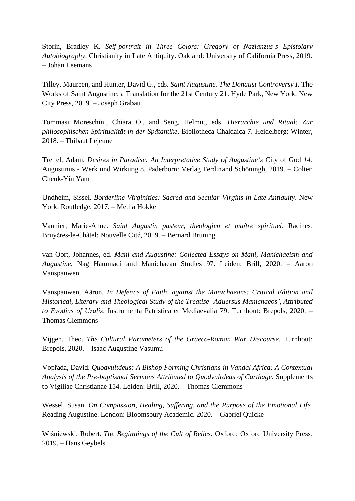Storin, Bradley K. *Self-portrait in Three Colors: Gregory of Nazianzus's Epistolary Autobiography*. Christianity in Late Antiquity. Oakland: University of California Press, 2019. – Johan Leemans

Tilley, Maureen, and Hunter, David G., eds. *Saint Augustine. The Donatist Controversy I*. The Works of Saint Augustine: a Translation for the 21st Century 21. Hyde Park, New York: New City Press, 2019. – Joseph Grabau

Tommasi Moreschini, Chiara O., and Seng, Helmut, eds. *Hierarchie und Ritual: Zur philosophischen Spiritualität in der Spätantike*. Bibliotheca Chaldaica 7. Heidelberg: Winter, 2018. – Thibaut Lejeune

Trettel, Adam. *Desires in Paradise: An Interpretative Study of Augustine's* City of God *14*. Augustinus - Werk und Wirkung 8. Paderborn: Verlag Ferdinand Schöningh, 2019. – Colten Cheuk-Yin Yam

Undheim, Sissel. *Borderline Virginities: Sacred and Secular Virgins in Late Antiquity*. New York: Routledge, 2017. – Metha Hokke

Vannier, Marie-Anne. *Saint Augustin pasteur, théologien et maître spirituel*. Racines. Bruyères-le-Châtel: Nouvelle Cité, 2019. – Bernard Bruning

van Oort, Johannes, ed. *Mani and Augustine: Collected Essays on Mani, Manichaeism and Augustine*. Nag Hammadi and Manichaean Studies 97. Leiden: Brill, 2020. – Aäron Vanspauwen

Vanspauwen, Aäron. *In Defence of Faith, against the Manichaeans: Critical Edition and Historical, Literary and Theological Study of the Treatise 'Aduersus Manichaeos', Attributed to Evodius of Uzalis*. Instrumenta Patristica et Mediaevalia 79. Turnhout: Brepols, 2020. – Thomas Clemmons

Vijgen, Theo. *The Cultural Parameters of the Graeco-Roman War Discourse*. Turnhout: Brepols, 2020. – Isaac Augustine Vasumu

Vopřada, David. *Quodvultdeus: A Bishop Forming Christians in Vandal Africa: A Contextual Analysis of the Pre-baptismal Sermons Attributed to Quodvultdeus of Carthage*. Supplements to Vigiliae Christianae 154. Leiden: Brill, 2020. – Thomas Clemmons

Wessel, Susan. *On Compassion, Healing, Suffering, and the Purpose of the Emotional Life*. Reading Augustine. London: Bloomsbury Academic, 2020. – Gabriel Quicke

Wiśniewski, Robert. *The Beginnings of the Cult of Relics*. Oxford: Oxford University Press, 2019. – Hans Geybels